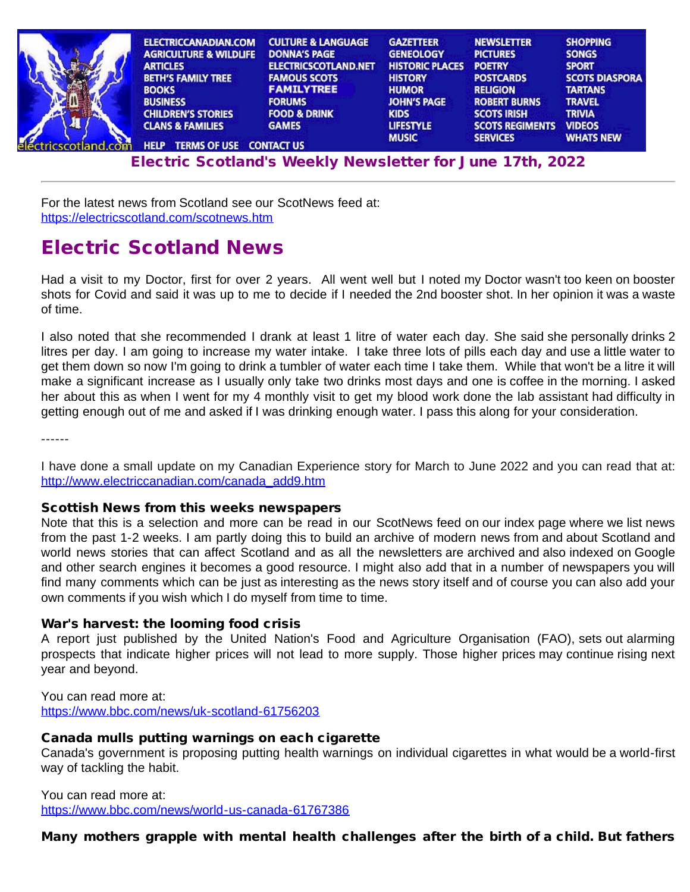| ELECTRICCANADIAN.COM               | <b>CULTURE &amp; LANGUAGE</b> | <b>GAZETTEER</b>       | <b>NEWSLETTER</b>      | <b>SHOPPING</b>       |
|------------------------------------|-------------------------------|------------------------|------------------------|-----------------------|
| <b>AGRICULTURE &amp; WILDLIFE</b>  | <b>DONNA'S PAGE</b>           | <b>GENEOLOGY</b>       | <b>PICTURES</b>        | <b>SONGS</b>          |
| <b>ARTICLES</b>                    | <b>ELECTRICSCOTLAND.NET</b>   | <b>HISTORIC PLACES</b> | <b>POETRY</b>          | <b>SPORT</b>          |
| <b>BETH'S FAMILY TREE</b>          | <b>FAMOUS SCOTS</b>           | <b>HISTORY</b>         | <b>POSTCARDS</b>       | <b>SCOTS DIASPORA</b> |
| <b>BOOKS</b>                       | <b>FAMILYTREE</b>             | <b>HUMOR</b>           | <b>RELIGION</b>        | <b>TARTANS</b>        |
| <b>BUSINESS</b>                    | <b>FORUMS</b>                 | <b>JOHN'S PAGE</b>     | <b>ROBERT BURNS</b>    | <b>TRAVEL</b>         |
| <b>CHILDREN'S STORIES</b>          | <b>FOOD &amp; DRINK</b>       | <b>KIDS</b>            | <b>SCOTS IRISH</b>     | <b>TRIVIA</b>         |
| <b>CLANS &amp; FAMILIES</b>        | <b>GAMES</b>                  | <b>LIFESTYLE</b>       | <b>SCOTS REGIMENTS</b> | <b>VIDEOS</b>         |
| <b>TERMS OF USE</b><br><b>HELP</b> | <b>CONTACT US</b>             | <b>MUSIC</b>           | <b>SERVICES</b>        | <b>WHATS NEW</b>      |

[Electr](http://www.electricscotland.org/help/)[ic Scotlan](http://www.electricscotland.com/ester.htm)[d's Weekly Newsle](http://www.electricscotland.com/contact.htm)[tter for J](http://www.electricscotland.com/music/index.htm)[une 17th, 20](http://www.electricscotland.com/services/index.htm)[22](http://www.electricscotland.com/whatsnew.htm)

For the latest news from Scotland see our ScotNews feed at: <https://electricscotland.com/scotnews.htm>

## Electric Scotland News

Had a visit to my Doctor, first for over 2 years. All went well but I noted my Doctor wasn't too keen on booster shots for Covid and said it was up to me to decide if I needed the 2nd booster shot. In her opinion it was a waste of time.

I also noted that she recommended I drank at least 1 litre of water each day. She said she personally drinks 2 litres per day. I am going to increase my water intake. I take three lots of pills each day and use a little water to get them down so now I'm going to drink a tumbler of water each time I take them. While that won't be a litre it will make a significant increase as I usually only take two drinks most days and one is coffee in the morning. I asked her about this as when I went for my 4 monthly visit to get my blood work done the lab assistant had difficulty in getting enough out of me and asked if I was drinking enough water. I pass this along for your consideration.

------

I have done a small update on my Canadian Experience story for March to June 2022 and you can read that at: [http://www.electriccanadian.com/canada\\_add9.htm](http://www.electriccanadian.com/canada_add9.htm)

### Scottish News from this weeks newspapers

Note that this is a selection and more can be read in our ScotNews feed on our index page where we list news from the past 1-2 weeks. I am partly doing this to build an archive of modern news from and about Scotland and world news stories that can affect Scotland and as all the newsletters are archived and also indexed on Google and other search engines it becomes a good resource. I might also add that in a number of newspapers you will find many comments which can be just as interesting as the news story itself and of course you can also add your own comments if you wish which I do myself from time to time.

### War's harvest: the looming food crisis

A report just published by the United Nation's Food and Agriculture Organisation (FAO), sets out alarming prospects that indicate higher prices will not lead to more supply. Those higher prices may continue rising next year and beyond.

### You can read more at:

<https://www.bbc.com/news/uk-scotland-61756203>

### Canada mulls putting warnings on each cigarette

Canada's government is proposing putting health warnings on individual cigarettes in what would be a world-first way of tackling the habit.

You can read more at: <https://www.bbc.com/news/world-us-canada-61767386>

### Many mothers grapple with mental health challenges after the birth of a child. But fathers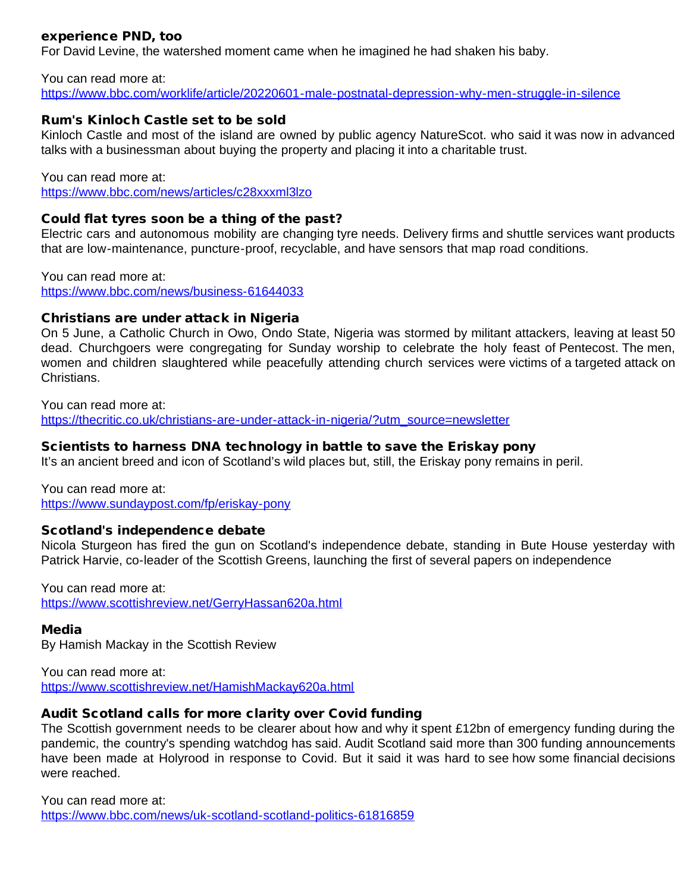## experience PND, too

For David Levine, the watershed moment came when he imagined he had shaken his baby.

You can read more at: <https://www.bbc.com/worklife/article/20220601-male-postnatal-depression-why-men-struggle-in-silence>

### Rum's Kinloch Castle set to be sold

Kinloch Castle and most of the island are owned by public agency NatureScot. who said it was now in advanced talks with a businessman about buying the property and placing it into a charitable trust.

You can read more at:

<https://www.bbc.com/news/articles/c28xxxml3lzo>

### Could flat tyres soon be a thing of the past?

Electric cars and autonomous mobility are changing tyre needs. Delivery firms and shuttle services want products that are low-maintenance, puncture-proof, recyclable, and have sensors that map road conditions.

You can read more at: <https://www.bbc.com/news/business-61644033>

### Christians are under attack in Nigeria

On 5 June, a Catholic Church in Owo, Ondo State, Nigeria was stormed by militant attackers, leaving at least 50 dead. Churchgoers were congregating for Sunday worship to celebrate the holy feast of Pentecost. The men, women and children slaughtered while peacefully attending church services were victims of a targeted attack on Christians.

You can read more at: [https://thecritic.co.uk/christians-are-under-attack-in-nigeria/?utm\\_source=newsletter](https://thecritic.co.uk/christians-are-under-attack-in-nigeria/?utm_source=newsletter)

### Scientists to harness DNA technology in battle to save the Eriskay pony

It's an ancient breed and icon of Scotland's wild places but, still, the Eriskay pony remains in peril.

You can read more at: <https://www.sundaypost.com/fp/eriskay-pony>

### Scotland's independence debate

Nicola Sturgeon has fired the gun on Scotland's independence debate, standing in Bute House yesterday with Patrick Harvie, co-leader of the Scottish Greens, launching the first of several papers on independence

You can read more at: <https://www.scottishreview.net/GerryHassan620a.html>

#### Media

By Hamish Mackay in the Scottish Review

You can read more at: <https://www.scottishreview.net/HamishMackay620a.html>

### Audit Scotland calls for more clarity over Covid funding

The Scottish government needs to be clearer about how and why it spent £12bn of emergency funding during the pandemic, the country's spending watchdog has said. Audit Scotland said more than 300 funding announcements have been made at Holyrood in response to Covid. But it said it was hard to see how some financial decisions were reached.

You can read more at: <https://www.bbc.com/news/uk-scotland-scotland-politics-61816859>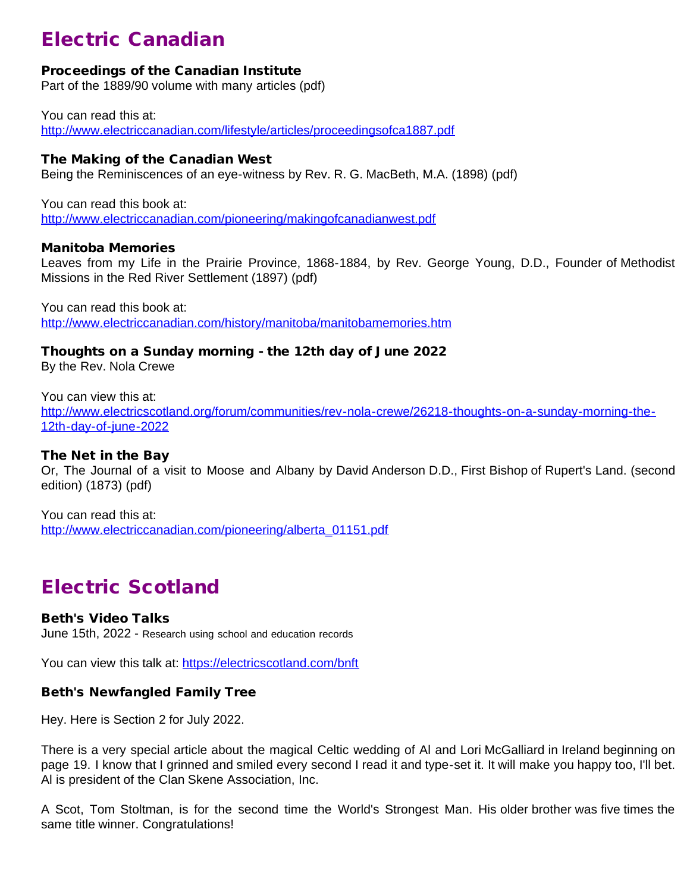# Electric Canadian

## Proceedings of the Canadian Institute

Part of the 1889/90 volume with many articles (pdf)

You can read this at: <http://www.electriccanadian.com/lifestyle/articles/proceedingsofca1887.pdf>

### The Making of the Canadian West

Being the Reminiscences of an eye-witness by Rev. R. G. MacBeth, M.A. (1898) (pdf)

You can read this book at: <http://www.electriccanadian.com/pioneering/makingofcanadianwest.pdf>

### Manitoba Memories

Leaves from my Life in the Prairie Province, 1868-1884, by Rev. George Young, D.D., Founder of Methodist Missions in the Red River Settlement (1897) (pdf)

You can read this book at: <http://www.electriccanadian.com/history/manitoba/manitobamemories.htm>

Thoughts on a Sunday morning - the 12th day of June 2022

By the Rev. Nola Crewe

You can view this at: [http://www.electricscotland.org/forum/communities/rev-nola-crewe/26218-thoughts-on-a-sunday-morning-the-](http://www.electricscotland.org/forum/communities/rev-nola-crewe/26218-thoughts-on-a-sunday-morning-the-12th-day-of-june-2022)[12th-day-of-june-2022](http://www.electricscotland.org/forum/communities/rev-nola-crewe/26218-thoughts-on-a-sunday-morning-the-12th-day-of-june-2022)

## The Net in the Bay

Or, The Journal of a visit to Moose and Albany by David Anderson D.D., First Bishop of Rupert's Land. (second edition) (1873) (pdf)

You can read this at: [http://www.electriccanadian.com/pioneering/alberta\\_01151.pdf](http://www.electriccanadian.com/pioneering/alberta_01151.pdf)

## Electric Scotland

## Beth's Video Talks

June 15th, 2022 - Research using school and education records

You can view this talk at:<https://electricscotland.com/bnft>

## Beth's Newfangled Family Tree

Hey. Here is Section 2 for July 2022.

There is a very special article about the magical Celtic wedding of Al and Lori McGalliard in Ireland beginning on page 19. I know that I grinned and smiled every second I read it and type-set it. It will make you happy too, I'll bet. Al is president of the Clan Skene Association, Inc.

A Scot, Tom Stoltman, is for the second time the World's Strongest Man. His older brother was five times the same title winner. Congratulations!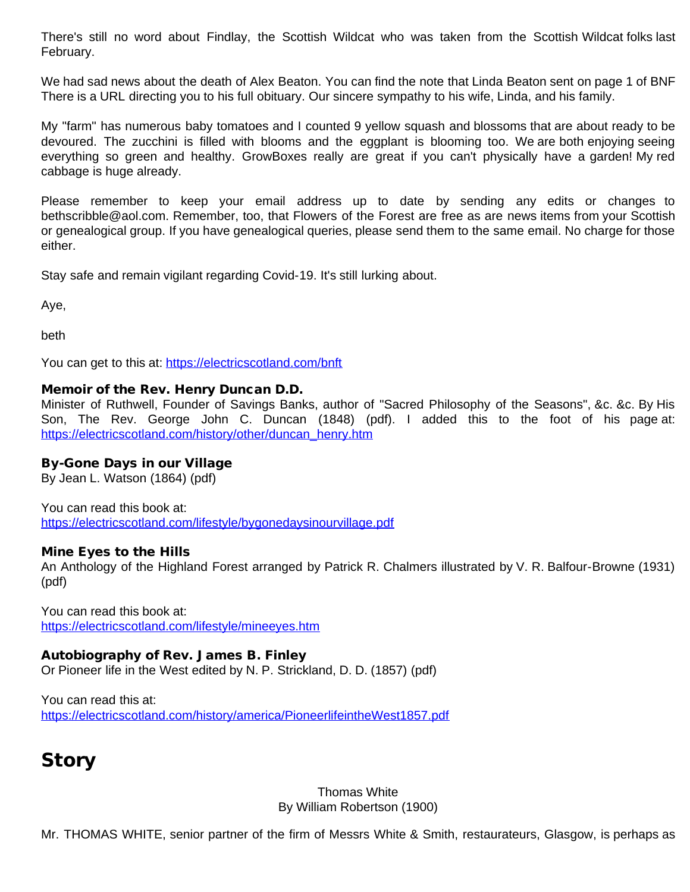There's still no word about Findlay, the Scottish Wildcat who was taken from the Scottish Wildcat folks last February.

We had sad news about the death of Alex Beaton. You can find the note that Linda Beaton sent on page 1 of BNF There is a URL directing you to his full obituary. Our sincere sympathy to his wife, Linda, and his family.

My "farm" has numerous baby tomatoes and I counted 9 yellow squash and blossoms that are about ready to be devoured. The zucchini is filled with blooms and the eggplant is blooming too. We are both enjoying seeing everything so green and healthy. GrowBoxes really are great if you can't physically have a garden! My red cabbage is huge already.

Please remember to keep your email address up to date by sending any edits or changes to bethscribble@aol.com. Remember, too, that Flowers of the Forest are free as are news items from your Scottish or genealogical group. If you have genealogical queries, please send them to the same email. No charge for those either.

Stay safe and remain vigilant regarding Covid-19. It's still lurking about.

Aye,

beth

You can get to this at:<https://electricscotland.com/bnft>

### Memoir of the Rev. Henry Duncan D.D.

Minister of Ruthwell, Founder of Savings Banks, author of "Sacred Philosophy of the Seasons", &c. &c. By His Son, The Rev. George John C. Duncan (1848) (pdf). I added this to the foot of his page at: [https://electricscotland.com/history/other/duncan\\_henry.htm](https://electricscotland.com/history/other/duncan_henry.htm)

## By-Gone Days in our Village

By Jean L. Watson (1864) (pdf)

You can read this book at: <https://electricscotland.com/lifestyle/bygonedaysinourvillage.pdf>

### Mine Eyes to the Hills

An Anthology of the Highland Forest arranged by Patrick R. Chalmers illustrated by V. R. Balfour-Browne (1931) (pdf)

You can read this book at: <https://electricscotland.com/lifestyle/mineeyes.htm>

## Autobiography of Rev. James B. Finley

Or Pioneer life in the West edited by N. P. Strickland, D. D. (1857) (pdf)

You can read this at: <https://electricscotland.com/history/america/PioneerlifeintheWest1857.pdf>

# **Story**

Thomas White By William Robertson (1900)

Mr. THOMAS WHITE, senior partner of the firm of Messrs White & Smith, restaurateurs, Glasgow, is perhaps as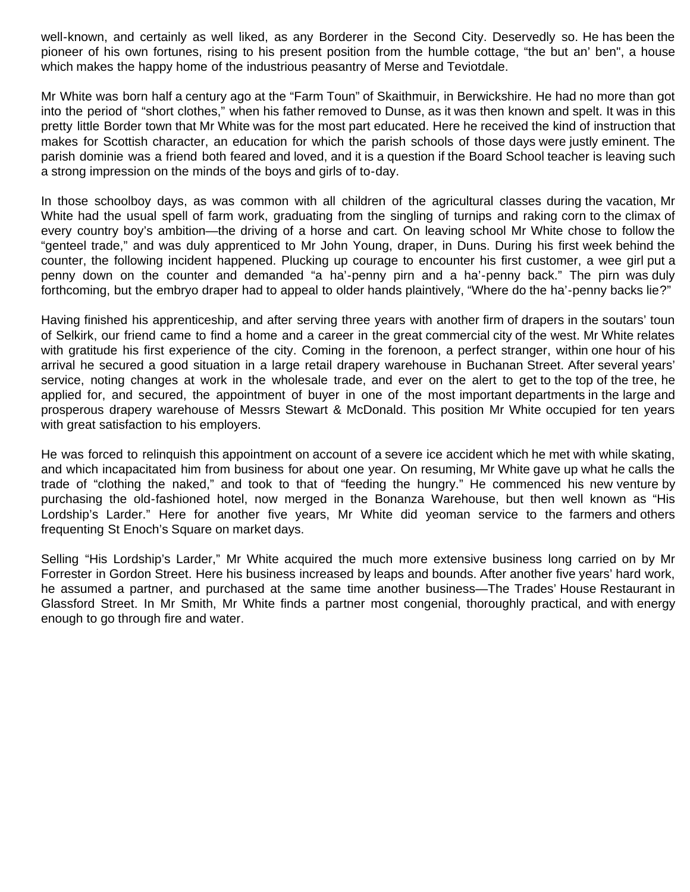well-known, and certainly as well liked, as any Borderer in the Second City. Deservedly so. He has been the pioneer of his own fortunes, rising to his present position from the humble cottage, "the but an' ben", a house which makes the happy home of the industrious peasantry of Merse and Teviotdale.

Mr White was born half a century ago at the "Farm Toun" of Skaithmuir, in Berwickshire. He had no more than got into the period of "short clothes," when his father removed to Dunse, as it was then known and spelt. It was in this pretty little Border town that Mr White was for the most part educated. Here he received the kind of instruction that makes for Scottish character, an education for which the parish schools of those days were justly eminent. The parish dominie was a friend both feared and loved, and it is a question if the Board School teacher is leaving such a strong impression on the minds of the boys and girls of to-day.

In those schoolboy days, as was common with all children of the agricultural classes during the vacation, Mr White had the usual spell of farm work, graduating from the singling of turnips and raking corn to the climax of every country boy's ambition—the driving of a horse and cart. On leaving school Mr White chose to follow the "genteel trade," and was duly apprenticed to Mr John Young, draper, in Duns. During his first week behind the counter, the following incident happened. Plucking up courage to encounter his first customer, a wee girl put a penny down on the counter and demanded "a ha'-penny pirn and a ha'-penny back." The pirn was duly forthcoming, but the embryo draper had to appeal to older hands plaintively, "Where do the ha'-penny backs lie?"

Having finished his apprenticeship, and after serving three years with another firm of drapers in the soutars' toun of Selkirk, our friend came to find a home and a career in the great commercial city of the west. Mr White relates with gratitude his first experience of the city. Coming in the forenoon, a perfect stranger, within one hour of his arrival he secured a good situation in a large retail drapery warehouse in Buchanan Street. After several years' service, noting changes at work in the wholesale trade, and ever on the alert to get to the top of the tree, he applied for, and secured, the appointment of buyer in one of the most important departments in the large and prosperous drapery warehouse of Messrs Stewart & McDonald. This position Mr White occupied for ten years with great satisfaction to his employers.

He was forced to relinquish this appointment on account of a severe ice accident which he met with while skating, and which incapacitated him from business for about one year. On resuming, Mr White gave up what he calls the trade of "clothing the naked," and took to that of "feeding the hungry." He commenced his new venture by purchasing the old-fashioned hotel, now merged in the Bonanza Warehouse, but then well known as "His Lordship's Larder." Here for another five years, Mr White did yeoman service to the farmers and others frequenting St Enoch's Square on market days.

Selling "His Lordship's Larder," Mr White acquired the much more extensive business long carried on by Mr Forrester in Gordon Street. Here his business increased by leaps and bounds. After another five years' hard work, he assumed a partner, and purchased at the same time another business—The Trades' House Restaurant in Glassford Street. In Mr Smith, Mr White finds a partner most congenial, thoroughly practical, and with energy enough to go through fire and water.